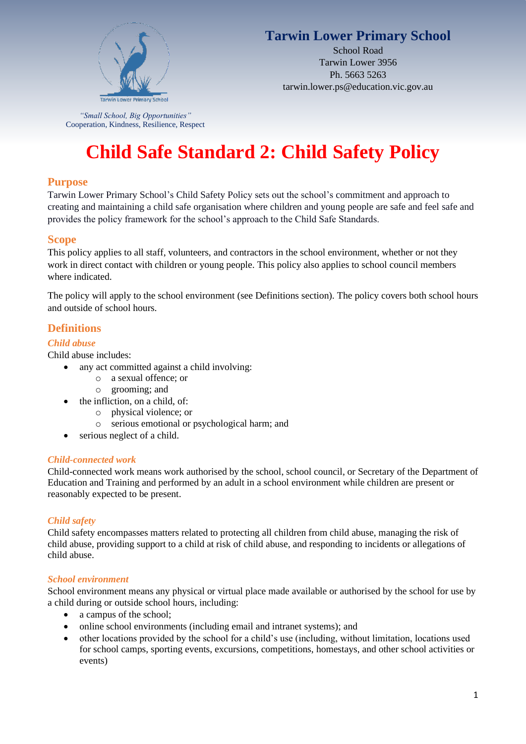

## **Tarwin Lower Primary School**

School Road Tarwin Lower 3956 Ph. 5663 5263 tarwin.lower.ps@education.vic.gov.au

*"Small School, Big Opportunities"* Cooperation, Kindness, Resilience, Respect

# **Child Safe Standard 2: Child Safety Policy**

## **Purpose**

Tarwin Lower Primary School's Child Safety Policy sets out the school's commitment and approach to creating and maintaining a child safe organisation where children and young people are safe and feel safe and provides the policy framework for the school's approach to the Child Safe Standards.

## **Scope**

This policy applies to all staff, volunteers, and contractors in the school environment, whether or not they work in direct contact with children or young people. This policy also applies to school council members where indicated.

The policy will apply to the school environment (see Definitions section). The policy covers both school hours and outside of school hours.

## **Definitions**

#### *Child abuse*

Child abuse includes:

- any act committed against a child involving:
	- o a sexual offence; or
	- o grooming; and
- the infliction, on a child, of:
	- o physical violence; or
	- o serious emotional or psychological harm; and
- serious neglect of a child.

#### *Child-connected work*

Child-connected work means work authorised by the school, school council, or Secretary of the Department of Education and Training and performed by an adult in a school environment while children are present or reasonably expected to be present.

#### *Child safety*

Child safety encompasses matters related to protecting all children from child abuse, managing the risk of child abuse, providing support to a child at risk of child abuse, and responding to incidents or allegations of child abuse.

#### *School environment*

School environment means any physical or virtual place made available or authorised by the school for use by a child during or outside school hours, including:

- a campus of the school:
- online school environments (including email and intranet systems); and
- other locations provided by the school for a child's use (including, without limitation, locations used for school camps, sporting events, excursions, competitions, homestays, and other school activities or events)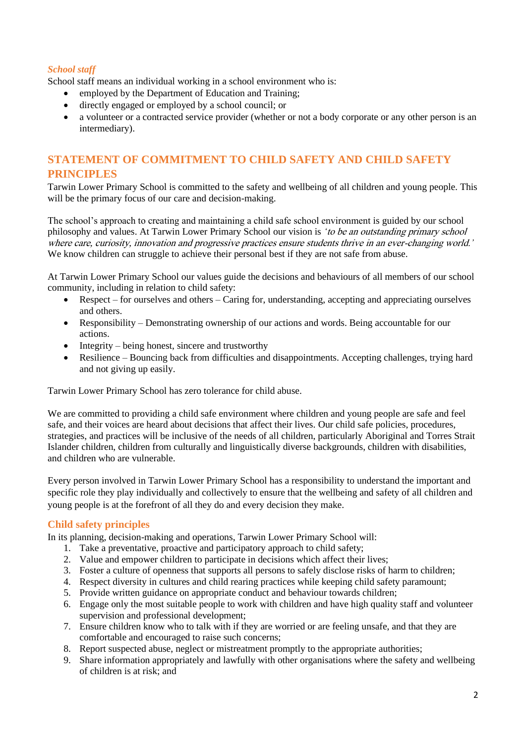#### *School staff*

School staff means an individual working in a school environment who is:

- employed by the Department of Education and Training;
- directly engaged or employed by a school council; or
- a volunteer or a contracted service provider (whether or not a body corporate or any other person is an intermediary).

## **STATEMENT OF COMMITMENT TO CHILD SAFETY AND CHILD SAFETY PRINCIPLES**

Tarwin Lower Primary School is committed to the safety and wellbeing of all children and young people. This will be the primary focus of our care and decision-making.

The school's approach to creating and maintaining a child safe school environment is guided by our school philosophy and values. At Tarwin Lower Primary School our vision is *'*to be an outstanding primary school where care, curiosity, innovation and progressive practices ensure students thrive in an ever-changing world.*'* We know children can struggle to achieve their personal best if they are not safe from abuse.

At Tarwin Lower Primary School our values guide the decisions and behaviours of all members of our school community, including in relation to child safety:

- Respect for ourselves and others Caring for, understanding, accepting and appreciating ourselves and others.
- Responsibility Demonstrating ownership of our actions and words. Being accountable for our actions.
- Integrity being honest, sincere and trustworthy
- Resilience Bouncing back from difficulties and disappointments. Accepting challenges, trying hard and not giving up easily.

Tarwin Lower Primary School has zero tolerance for child abuse.

We are committed to providing a child safe environment where children and young people are safe and feel safe, and their voices are heard about decisions that affect their lives. Our child safe policies, procedures, strategies, and practices will be inclusive of the needs of all children, particularly Aboriginal and Torres Strait Islander children, children from culturally and linguistically diverse backgrounds, children with disabilities, and children who are vulnerable.

Every person involved in Tarwin Lower Primary School has a responsibility to understand the important and specific role they play individually and collectively to ensure that the wellbeing and safety of all children and young people is at the forefront of all they do and every decision they make.

### **Child safety principles**

In its planning, decision-making and operations, Tarwin Lower Primary School will:

- 1. Take a preventative, proactive and participatory approach to child safety;
- 2. Value and empower children to participate in decisions which affect their lives;
- 3. Foster a culture of openness that supports all persons to safely disclose risks of harm to children;
- 4. Respect diversity in cultures and child rearing practices while keeping child safety paramount;
- 5. Provide written guidance on appropriate conduct and behaviour towards children;
- 6. Engage only the most suitable people to work with children and have high quality staff and volunteer supervision and professional development;
- 7. Ensure children know who to talk with if they are worried or are feeling unsafe, and that they are comfortable and encouraged to raise such concerns;
- 8. Report suspected abuse, neglect or mistreatment promptly to the appropriate authorities;
- 9. Share information appropriately and lawfully with other organisations where the safety and wellbeing of children is at risk; and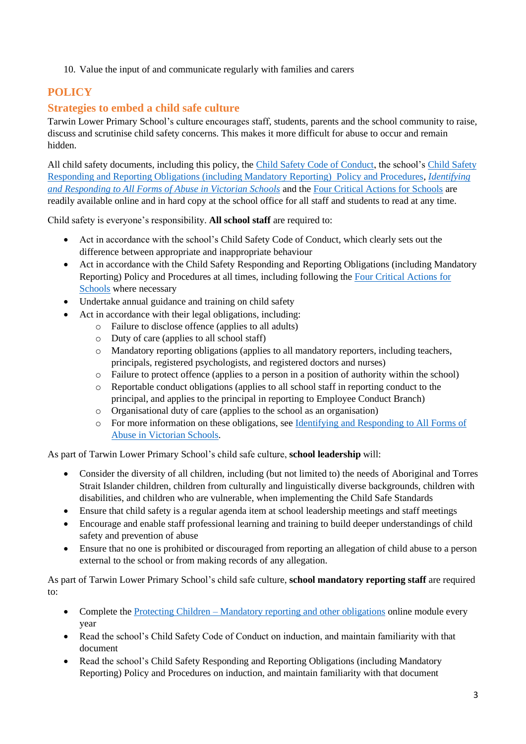10. Value the input of and communicate regularly with families and carers

## **POLICY**

## **Strategies to embed a child safe culture**

Tarwin Lower Primary School's culture encourages staff, students, parents and the school community to raise, discuss and scrutinise child safety concerns. This makes it more difficult for abuse to occur and remain hidden.

All child safety documents, including this policy, the [Child Safety Code of Conduct,](https://www.tarwinlowerps.vic.edu.au/_files/ugd/5b0692_b70dab1e5c2440b1b045c6d138ed8751.pdf) the school's [Child Safety](https://www.tarwinlowerps.vic.edu.au/_files/ugd/5b0692_66beea96eff74f04bd3de9a78d37f11c.pdf) Responding and Reporting Obligations [\(including Mandatory Reporting\) Policy and Procedures,](https://www.tarwinlowerps.vic.edu.au/_files/ugd/5b0692_66beea96eff74f04bd3de9a78d37f11c.pdf) *[Identifying](https://www.education.vic.gov.au/Documents/about/programs/health/protect/ChildSafeStandard5_SchoolsGuide.pdf)  [and Responding to All Forms of Abuse in Victorian Schools](https://www.education.vic.gov.au/Documents/about/programs/health/protect/ChildSafeStandard5_SchoolsGuide.pdf)* and th[e Four Critical Actions for Schools](https://www.education.vic.gov.au/Documents/about/programs/health/protect/FourCriticalActions_ChildAbuse.pdf) are readily available online and in hard copy at the school office for all staff and students to read at any time.

Child safety is everyone's responsibility. **All school staff** are required to:

- Act in accordance with the school's Child Safety Code of Conduct, which clearly sets out the difference between appropriate and inappropriate behaviour
- Act in accordance with the Child Safety Responding and Reporting Obligations (including Mandatory Reporting) Policy and Procedures at all times, including following the [Four Critical Actions for](https://www.education.vic.gov.au/Documents/about/programs/health/protect/FourCriticalActions_ChildAbuse.pdf)  [Schools](https://www.education.vic.gov.au/Documents/about/programs/health/protect/FourCriticalActions_ChildAbuse.pdf) where necessary
- Undertake annual guidance and training on child safety
- Act in accordance with their legal obligations, including:
	- o Failure to disclose offence (applies to all adults)
	- o Duty of care (applies to all school staff)
	- o Mandatory reporting obligations (applies to all mandatory reporters, including teachers, principals, registered psychologists, and registered doctors and nurses)
	- o Failure to protect offence (applies to a person in a position of authority within the school)
	- o Reportable conduct obligations (applies to all school staff in reporting conduct to the principal, and applies to the principal in reporting to Employee Conduct Branch)
	- o Organisational duty of care (applies to the school as an organisation)
	- o For more information on these obligations, see [Identifying and Responding to All Forms of](https://www.education.vic.gov.au/Documents/about/programs/health/protect/ChildSafeStandard5_SchoolsGuide.pdf)  [Abuse in Victorian Schools.](https://www.education.vic.gov.au/Documents/about/programs/health/protect/ChildSafeStandard5_SchoolsGuide.pdf)

As part of Tarwin Lower Primary School's child safe culture, **school leadership** will:

- Consider the diversity of all children, including (but not limited to) the needs of Aboriginal and Torres Strait Islander children, children from culturally and linguistically diverse backgrounds, children with disabilities, and children who are vulnerable, when implementing the Child Safe Standards
- Ensure that child safety is a regular agenda item at school leadership meetings and staff meetings
- Encourage and enable staff professional learning and training to build deeper understandings of child safety and prevention of abuse
- Ensure that no one is prohibited or discouraged from reporting an allegation of child abuse to a person external to the school or from making records of any allegation.

As part of Tarwin Lower Primary School's child safe culture, **school mandatory reporting staff** are required to:

- Complete the Protecting Children [Mandatory reporting and other obligations](http://elearn.com.au/det/protectingchildren/) online module every year
- Read the school's Child Safety Code of Conduct on induction, and maintain familiarity with that document
- Read the school's Child Safety Responding and Reporting Obligations (including Mandatory Reporting) Policy and Procedures on induction, and maintain familiarity with that document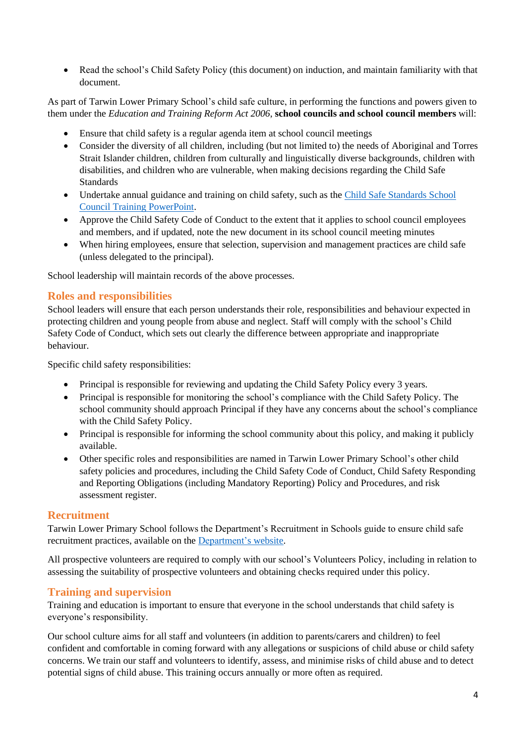• Read the school's Child Safety Policy (this document) on induction, and maintain familiarity with that document.

As part of Tarwin Lower Primary School's child safe culture, in performing the functions and powers given to them under the *Education and Training Reform Act 2006*, **school councils and school council members** will:

- Ensure that child safety is a regular agenda item at school council meetings
- Consider the diversity of all children, including (but not limited to) the needs of Aboriginal and Torres Strait Islander children, children from culturally and linguistically diverse backgrounds, children with disabilities, and children who are vulnerable, when making decisions regarding the Child Safe Standards
- Undertake annual guidance and training on child safety, such as the Child Safe Standards School [Council Training](https://www.education.vic.gov.au/Documents/about/programs/health/protect/school-council-training.pptx) PowerPoint.
- Approve the Child Safety Code of Conduct to the extent that it applies to school council employees and members, and if updated, note the new document in its school council meeting minutes
- When hiring employees, ensure that selection, supervision and management practices are child safe (unless delegated to the principal).

School leadership will maintain records of the above processes.

#### **Roles and responsibilities**

School leaders will ensure that each person understands their role, responsibilities and behaviour expected in protecting children and young people from abuse and neglect. Staff will comply with the school's Child Safety Code of Conduct, which sets out clearly the difference between appropriate and inappropriate behaviour.

Specific child safety responsibilities:

- Principal is responsible for reviewing and updating the Child Safety Policy every 3 years.
- Principal is responsible for monitoring the school's compliance with the Child Safety Policy. The school community should approach Principal if they have any concerns about the school's compliance with the Child Safety Policy.
- Principal is responsible for informing the school community about this policy, and making it publicly available.
- Other specific roles and responsibilities are named in Tarwin Lower Primary School's other child safety policies and procedures, including the Child Safety Code of Conduct, Child Safety Responding and Reporting Obligations (including Mandatory Reporting) Policy and Procedures, and risk assessment register.

#### **Recruitment**

Tarwin Lower Primary School follows the Department's Recruitment in Schools guide to ensure child safe recruitment practices, available on the [Department's website.](https://www.education.vic.gov.au/hrweb/careers/Pages/recruitinsch.aspx)

All prospective volunteers are required to comply with our school's Volunteers Policy, including in relation to assessing the suitability of prospective volunteers and obtaining checks required under this policy.

### **Training and supervision**

Training and education is important to ensure that everyone in the school understands that child safety is everyone's responsibility.

Our school culture aims for all staff and volunteers (in addition to parents/carers and children) to feel confident and comfortable in coming forward with any allegations or suspicions of child abuse or child safety concerns. We train our staff and volunteers to identify, assess, and minimise risks of child abuse and to detect potential signs of child abuse. This training occurs annually or more often as required.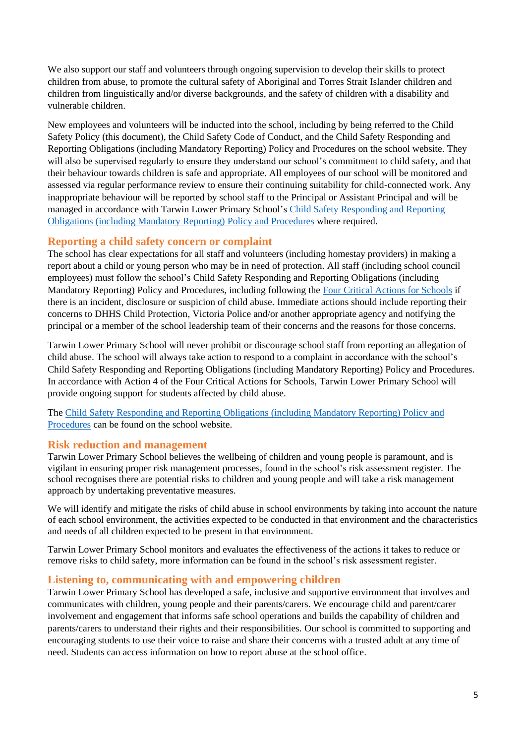We also support our staff and volunteers through ongoing supervision to develop their skills to protect children from abuse, to promote the cultural safety of Aboriginal and Torres Strait Islander children and children from linguistically and/or diverse backgrounds, and the safety of children with a disability and vulnerable children.

New employees and volunteers will be inducted into the school, including by being referred to the Child Safety Policy (this document), the Child Safety Code of Conduct, and the Child Safety Responding and Reporting Obligations (including Mandatory Reporting) Policy and Procedures on the school website. They will also be supervised regularly to ensure they understand our school's commitment to child safety, and that their behaviour towards children is safe and appropriate. All employees of our school will be monitored and assessed via regular performance review to ensure their continuing suitability for child-connected work. Any inappropriate behaviour will be reported by school staff to the Principal or Assistant Principal and will be managed in accordance with Tarwin Lower Primary School'[s Child Safety Responding and Reporting](https://www.tarwinlowerps.vic.edu.au/_files/ugd/5b0692_66beea96eff74f04bd3de9a78d37f11c.pdf) Obligations [\(including Mandatory Reporting\) Policy and Procedures](https://www.tarwinlowerps.vic.edu.au/_files/ugd/5b0692_66beea96eff74f04bd3de9a78d37f11c.pdf) where required.

#### **Reporting a child safety concern or complaint**

The school has clear expectations for all staff and volunteers (including homestay providers) in making a report about a child or young person who may be in need of protection. All staff (including school council employees) must follow the school's Child Safety Responding and Reporting Obligations (including Mandatory Reporting) Policy and Procedures, including following the [Four Critical Actions for Schools](https://www.education.vic.gov.au/Documents/about/programs/health/protect/FourCriticalActions_ChildAbuse.pdf) if there is an incident, disclosure or suspicion of child abuse. Immediate actions should include reporting their concerns to DHHS Child Protection, Victoria Police and/or another appropriate agency and notifying the principal or a member of the school leadership team of their concerns and the reasons for those concerns.

Tarwin Lower Primary School will never prohibit or discourage school staff from reporting an allegation of child abuse. The school will always take action to respond to a complaint in accordance with the school's Child Safety Responding and Reporting Obligations (including Mandatory Reporting) Policy and Procedures. In accordance with Action 4 of the Four Critical Actions for Schools, Tarwin Lower Primary School will provide ongoing support for students affected by child abuse.

The Child Safety Responding and Reporting Obligations [\(including Mandatory Reporting\)](https://www.tarwinlowerps.vic.edu.au/_files/ugd/5b0692_66beea96eff74f04bd3de9a78d37f11c.pdf) Policy and [Procedures](https://www.tarwinlowerps.vic.edu.au/_files/ugd/5b0692_66beea96eff74f04bd3de9a78d37f11c.pdf) can be found on the school website.

#### **Risk reduction and management**

Tarwin Lower Primary School believes the wellbeing of children and young people is paramount, and is vigilant in ensuring proper risk management processes, found in the school's risk assessment register. The school recognises there are potential risks to children and young people and will take a risk management approach by undertaking preventative measures.

We will identify and mitigate the risks of child abuse in school environments by taking into account the nature of each school environment, the activities expected to be conducted in that environment and the characteristics and needs of all children expected to be present in that environment.

Tarwin Lower Primary School monitors and evaluates the effectiveness of the actions it takes to reduce or remove risks to child safety, more information can be found in the school's risk assessment register.

### **Listening to, communicating with and empowering children**

Tarwin Lower Primary School has developed a safe, inclusive and supportive environment that involves and communicates with children, young people and their parents/carers. We encourage child and parent/carer involvement and engagement that informs safe school operations and builds the capability of children and parents/carers to understand their rights and their responsibilities. Our school is committed to supporting and encouraging students to use their voice to raise and share their concerns with a trusted adult at any time of need. Students can access information on how to report abuse at the school office.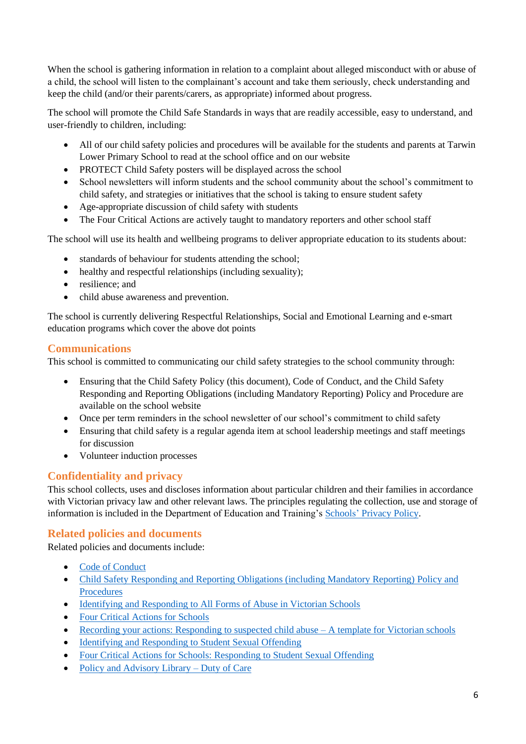When the school is gathering information in relation to a complaint about alleged misconduct with or abuse of a child, the school will listen to the complainant's account and take them seriously, check understanding and keep the child (and/or their parents/carers, as appropriate) informed about progress.

The school will promote the Child Safe Standards in ways that are readily accessible, easy to understand, and user-friendly to children, including:

- All of our child safety policies and procedures will be available for the students and parents at Tarwin Lower Primary School to read at the school office and on our website
- PROTECT Child Safety posters will be displayed across the school
- School newsletters will inform students and the school community about the school's commitment to child safety, and strategies or initiatives that the school is taking to ensure student safety
- Age-appropriate discussion of child safety with students
- The Four Critical Actions are actively taught to mandatory reporters and other school staff

The school will use its health and wellbeing programs to deliver appropriate education to its students about:

- standards of behaviour for students attending the school:
- healthy and respectful relationships (including sexuality);
- resilience; and
- child abuse awareness and prevention.

The school is currently delivering Respectful Relationships, Social and Emotional Learning and e-smart education programs which cover the above dot points

## **Communications**

This school is committed to communicating our child safety strategies to the school community through:

- Ensuring that the Child Safety Policy (this document), Code of Conduct, and the Child Safety Responding and Reporting Obligations (including Mandatory Reporting) Policy and Procedure are available on the school website
- Once per term reminders in the school newsletter of our school's commitment to child safety
- Ensuring that child safety is a regular agenda item at school leadership meetings and staff meetings for discussion
- Volunteer induction processes

## **Confidentiality and privacy**

This school collects, uses and discloses information about particular children and their families in accordance with Victorian privacy law and other relevant laws. The principles regulating the collection, use and storage of information is included in the Department of Education and Training's Schools' [Privacy Policy.](https://www.education.vic.gov.au/Pages/schoolsprivacypolicy.aspx)

## **Related policies and documents**

Related policies and documents include:

- [Code of Conduct](https://www.tarwinlowerps.vic.edu.au/_files/ugd/5b0692_b70dab1e5c2440b1b045c6d138ed8751.pdf)
- Child Safety Responding and Reporting [Obligations \(including Mandatory Reporting\) Policy and](https://www.tarwinlowerps.vic.edu.au/_files/ugd/5b0692_66beea96eff74f04bd3de9a78d37f11c.pdf)  [Procedures](https://www.tarwinlowerps.vic.edu.au/_files/ugd/5b0692_66beea96eff74f04bd3de9a78d37f11c.pdf)
- [Identifying and Responding to All Forms of Abuse in Victorian Schools](https://www.education.vic.gov.au/Documents/about/programs/health/protect/ChildSafeStandard5_SchoolsGuide.pdf)
- [Four Critical Actions for Schools](https://www.education.vic.gov.au/Documents/about/programs/health/protect/FourCriticalActions_ChildAbuse.pdf)
- [Recording your actions: Responding to suspected child abuse –](https://www.education.vic.gov.au/Documents/about/programs/health/protect/PROTECT_Schoolstemplate.pdf) A template for Victorian schools
- [Identifying and Responding to Student Sexual Offending](https://www.education.vic.gov.au/Documents/about/programs/health/protect/SSO_Policy.pdf)
- [Four Critical Actions for Schools: Responding to Student Sexual Offending](https://www.education.vic.gov.au/Documents/about/programs/health/protect/FourCriticalActions_SSO.pdf)
- [Policy and Advisory Library](https://www.education.vic.gov.au/school/principals/spag/safety/Pages/dutyofcare.aspx) Duty of Care